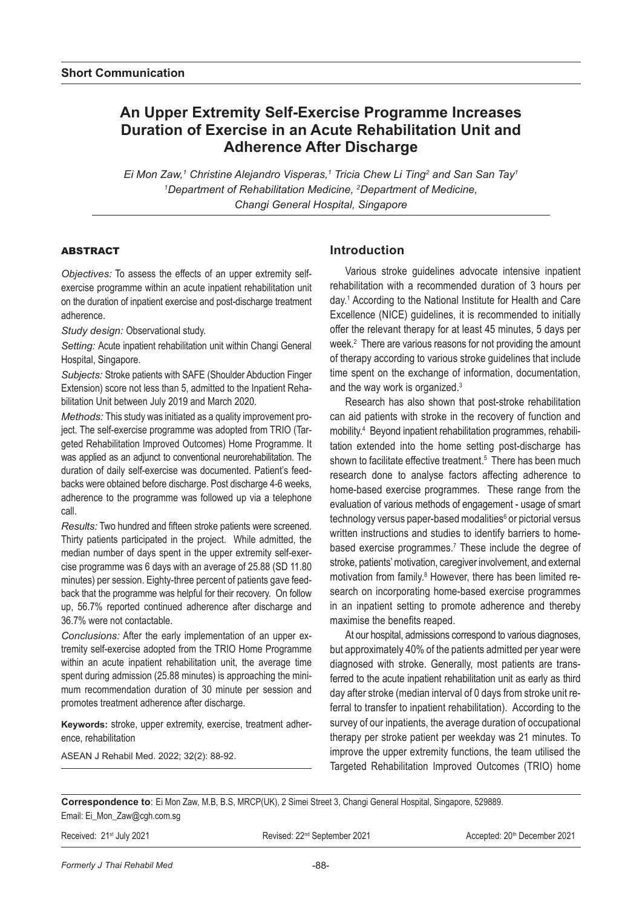# **An Upper Extremity Self-Exercise Programme Increases Duration of Exercise in an Acute Rehabilitation Unit and Adherence After Discharge**

*Ei Mon Zaw,1 Christine Alejandro Visperas,1 Tricia Chew Li Ting2 and San San Tay1 1 Department of Rehabilitation Medicine, 2 Department of Medicine, Changi General Hospital, Singapore*

### ABSTRACT

*Objectives:* To assess the effects of an upper extremity selfexercise programme within an acute inpatient rehabilitation unit on the duration of inpatient exercise and post-discharge treatment adherence.

*Study design:* Observational study.

*Setting:* Acute inpatient rehabilitation unit within Changi General Hospital, Singapore.

*Subjects:* Stroke patients with SAFE (Shoulder Abduction Finger Extension) score not less than 5, admitted to the Inpatient Rehabilitation Unit between July 2019 and March 2020.

*Methods:* This study was initiated as a quality improvement project. The self-exercise programme was adopted from TRIO (Targeted Rehabilitation Improved Outcomes) Home Programme. It was applied as an adjunct to conventional neurorehabilitation. The duration of daily self-exercise was documented. Patient's feedbacks were obtained before discharge. Post discharge 4-6 weeks, adherence to the programme was followed up via a telephone call.

*Results:* Two hundred and fifteen stroke patients were screened. Thirty patients participated in the project. While admitted, the median number of days spent in the upper extremity self-exercise programme was 6 days with an average of 25.88 (SD 11.80 minutes) per session. Eighty-three percent of patients gave feedback that the programme was helpful for their recovery. On follow up, 56.7% reported continued adherence after discharge and 36.7% were not contactable.

*Conclusions:* After the early implementation of an upper extremity self-exercise adopted from the TRIO Home Programme within an acute inpatient rehabilitation unit, the average time spent during admission (25.88 minutes) is approaching the minimum recommendation duration of 30 minute per session and promotes treatment adherence after discharge.

**Keywords:** stroke, upper extremity, exercise, treatment adherence, rehabilitation

ASEAN J Rehabil Med. 2022; 32(2): 88-92.

# **Introduction**

Various stroke guidelines advocate intensive inpatient rehabilitation with a recommended duration of 3 hours per day.1 According to the National Institute for Health and Care Excellence (NICE) guidelines, it is recommended to initially offer the relevant therapy for at least 45 minutes, 5 days per week.<sup>2</sup> There are various reasons for not providing the amount of therapy according to various stroke guidelines that include time spent on the exchange of information, documentation, and the way work is organized.3

Research has also shown that post-stroke rehabilitation can aid patients with stroke in the recovery of function and mobility.4 Beyond inpatient rehabilitation programmes, rehabilitation extended into the home setting post-discharge has shown to facilitate effective treatment.<sup>5</sup> There has been much research done to analyse factors affecting adherence to home-based exercise programmes. These range from the evaluation of various methods of engagement - usage of smart technology versus paper-based modalities<sup>6</sup> or pictorial versus written instructions and studies to identify barriers to homebased exercise programmes.<sup>7</sup> These include the degree of stroke, patients' motivation, caregiver involvement, and external motivation from family.<sup>8</sup> However, there has been limited research on incorporating home-based exercise programmes in an inpatient setting to promote adherence and thereby maximise the benefits reaped.

At our hospital, admissions correspond to various diagnoses, but approximately 40% of the patients admitted per year were diagnosed with stroke. Generally, most patients are transferred to the acute inpatient rehabilitation unit as early as third day after stroke (median interval of 0 days from stroke unit referral to transfer to inpatient rehabilitation). According to the survey of our inpatients, the average duration of occupational therapy per stroke patient per weekday was 21 minutes. To improve the upper extremity functions, the team utilised the Targeted Rehabilitation Improved Outcomes (TRIO) home

**Correspondence to**: Ei Mon Zaw, M.B, B.S, MRCP(UK), 2 Simei Street 3, Changi General Hospital, Singapore, 529889. Email: Ei\_Mon\_Zaw@cgh.com.sg

Received: 21<sup>st</sup> July 2021 **Revised: 22<sup>nd</sup> September 2021** Accepted: 20<sup>th</sup> December 2021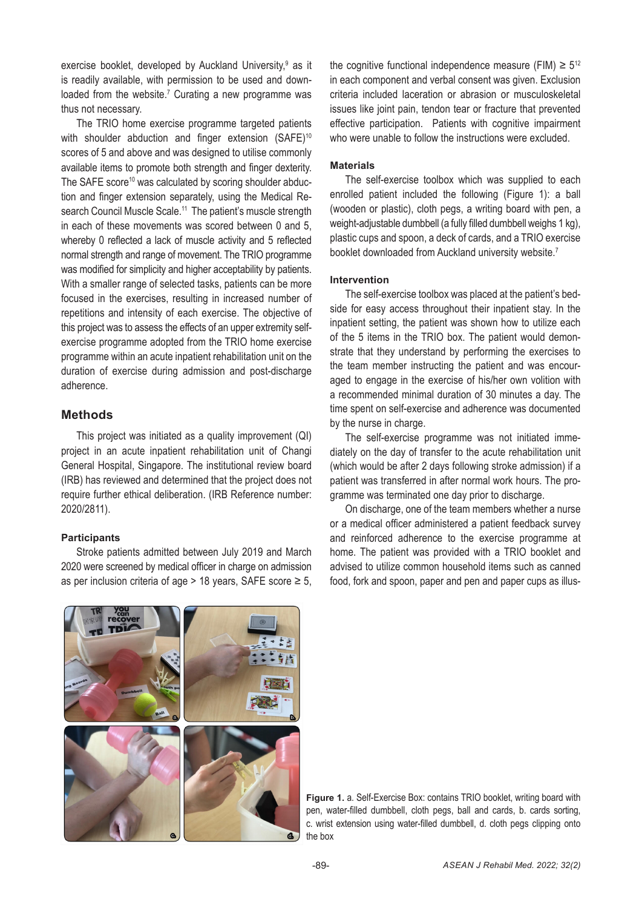exercise booklet, developed by Auckland University,<sup>9</sup> as it is readily available, with permission to be used and downloaded from the website.<sup>7</sup> Curating a new programme was thus not necessary.

The TRIO home exercise programme targeted patients with shoulder abduction and finger extension (SAFE)<sup>10</sup> scores of 5 and above and was designed to utilise commonly available items to promote both strength and finger dexterity. The SAFE score<sup>10</sup> was calculated by scoring shoulder abduction and finger extension separately, using the Medical Research Council Muscle Scale.<sup>11</sup> The patient's muscle strength in each of these movements was scored between 0 and 5, whereby 0 reflected a lack of muscle activity and 5 reflected normal strength and range of movement. The TRIO programme was modified for simplicity and higher acceptability by patients. With a smaller range of selected tasks, patients can be more focused in the exercises, resulting in increased number of repetitions and intensity of each exercise. The objective of this project was to assess the effects of an upper extremity selfexercise programme adopted from the TRIO home exercise programme within an acute inpatient rehabilitation unit on the duration of exercise during admission and post-discharge adherence.

### **Methods**

This project was initiated as a quality improvement (QI) project in an acute inpatient rehabilitation unit of Changi General Hospital, Singapore. The institutional review board (IRB) has reviewed and determined that the project does not require further ethical deliberation. (IRB Reference number: 2020/2811).

### **Participants**

Stroke patients admitted between July 2019 and March 2020 were screened by medical officer in charge on admission as per inclusion criteria of age > 18 years, SAFE score  $\geq 5$ , the cognitive functional independence measure (FIM)  $\geq 5^{12}$ in each component and verbal consent was given. Exclusion criteria included laceration or abrasion or musculoskeletal issues like joint pain, tendon tear or fracture that prevented effective participation. Patients with cognitive impairment who were unable to follow the instructions were excluded.

#### **Materials**

The self-exercise toolbox which was supplied to each enrolled patient included the following (Figure 1): a ball (wooden or plastic), cloth pegs, a writing board with pen, a weight-adjustable dumbbell (a fully filled dumbbell weighs 1 kg), plastic cups and spoon, a deck of cards, and a TRIO exercise booklet downloaded from Auckland university website.<sup>7</sup>

### **Intervention**

The self-exercise toolbox was placed at the patient's bedside for easy access throughout their inpatient stay. In the inpatient setting, the patient was shown how to utilize each of the 5 items in the TRIO box. The patient would demonstrate that they understand by performing the exercises to the team member instructing the patient and was encouraged to engage in the exercise of his/her own volition with a recommended minimal duration of 30 minutes a day. The time spent on self-exercise and adherence was documented by the nurse in charge.

The self-exercise programme was not initiated immediately on the day of transfer to the acute rehabilitation unit (which would be after 2 days following stroke admission) if a patient was transferred in after normal work hours. The programme was terminated one day prior to discharge.

On discharge, one of the team members whether a nurse or a medical officer administered a patient feedback survey and reinforced adherence to the exercise programme at home. The patient was provided with a TRIO booklet and advised to utilize common household items such as canned food, fork and spoon, paper and pen and paper cups as illus-



**Figure 1.** a. Self-Exercise Box: contains TRIO booklet, writing board with pen, water-filled dumbbell, cloth pegs, ball and cards, b. cards sorting, c. wrist extension using water-filled dumbbell, d. cloth pegs clipping onto the box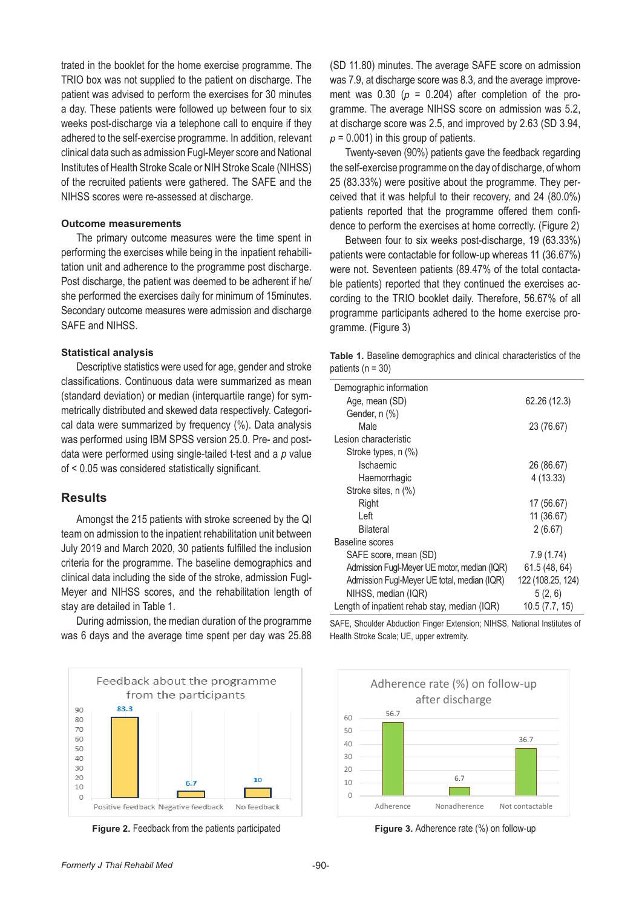trated in the booklet for the home exercise programme. The TRIO box was not supplied to the patient on discharge. The patient was advised to perform the exercises for 30 minutes a day. These patients were followed up between four to six weeks post-discharge via a telephone call to enquire if they adhered to the self-exercise programme. In addition, relevant clinical data such as admission Fugl-Meyer score and National Institutes of Health Stroke Scale or NIH Stroke Scale (NIHSS) of the recruited patients were gathered. The SAFE and the NIHSS scores were re-assessed at discharge.

#### **Outcome measurements**

The primary outcome measures were the time spent in performing the exercises while being in the inpatient rehabilitation unit and adherence to the programme post discharge. Post discharge, the patient was deemed to be adherent if he/ she performed the exercises daily for minimum of 15minutes. Secondary outcome measures were admission and discharge SAFE and NIHSS.

#### **Statistical analysis**

Descriptive statistics were used for age, gender and stroke classifications. Continuous data were summarized as mean (standard deviation) or median (interquartile range) for symmetrically distributed and skewed data respectively. Categorical data were summarized by frequency (%). Data analysis was performed using IBM SPSS version 25.0. Pre- and postdata were performed using single-tailed t-test and a *p* value of < 0.05 was considered statistically significant.

### **Results**

Amongst the 215 patients with stroke screened by the QI team on admission to the inpatient rehabilitation unit between July 2019 and March 2020, 30 patients fulfilled the inclusion criteria for the programme. The baseline demographics and clinical data including the side of the stroke, admission Fugl-Meyer and NIHSS scores, and the rehabilitation length of stay are detailed in Table 1.

During admission, the median duration of the programme was 6 days and the average time spent per day was 25.88



**Figure 2.** Feedback from the patients participated **Figure 3.** Adherence rate (%) on follow-up

(SD 11.80) minutes. The average SAFE score on admission was 7.9, at discharge score was 8.3, and the average improvement was  $0.30$  ( $p = 0.204$ ) after completion of the programme. The average NIHSS score on admission was 5.2, at discharge score was 2.5, and improved by 2.63 (SD 3.94,  $p = 0.001$ ) in this group of patients.

Twenty-seven (90%) patients gave the feedback regarding the self-exercise programme on the day of discharge, of whom 25 (83.33%) were positive about the programme. They perceived that it was helpful to their recovery, and 24 (80.0%) patients reported that the programme offered them confidence to perform the exercises at home correctly. (Figure 2)

Between four to six weeks post-discharge, 19 (63.33%) patients were contactable for follow-up whereas 11 (36.67%) were not. Seventeen patients (89.47% of the total contactable patients) reported that they continued the exercises according to the TRIO booklet daily. Therefore, 56.67% of all programme participants adhered to the home exercise programme. (Figure 3)

| <b>Table 1.</b> Baseline demographics and clinical characteristics of the |  |  |
|---------------------------------------------------------------------------|--|--|
| patients ( $n = 30$ )                                                     |  |  |

| Demographic information                      |                   |  |  |
|----------------------------------------------|-------------------|--|--|
| Age, mean (SD)                               | 62.26 (12.3)      |  |  |
| Gender, n (%)                                |                   |  |  |
| Male                                         | 23 (76.67)        |  |  |
| Lesion characteristic                        |                   |  |  |
| Stroke types, n (%)                          |                   |  |  |
| Ischaemic                                    | 26 (86.67)        |  |  |
| Haemorrhagic                                 | 4 (13.33)         |  |  |
| Stroke sites, n (%)                          |                   |  |  |
| Right                                        | 17 (56.67)        |  |  |
| I eft                                        | 11 (36.67)        |  |  |
| <b>Bilateral</b>                             | 2(6.67)           |  |  |
| Baseline scores                              |                   |  |  |
| SAFE score, mean (SD)                        | 7.9(1.74)         |  |  |
| Admission Fugl-Meyer UE motor, median (IQR)  | 61.5 (48, 64)     |  |  |
| Admission Fugl-Meyer UE total, median (IQR)  | 122 (108.25, 124) |  |  |
| NIHSS, median (IQR)                          | 5(2, 6)           |  |  |
| Length of inpatient rehab stay, median (IQR) | 10.5(7.7, 15)     |  |  |

SAFE, Shoulder Abduction Finger Extension; NIHSS, National Institutes of Health Stroke Scale; UE, upper extremity.



**Figure 3.** Adherence rate (%) on follow-up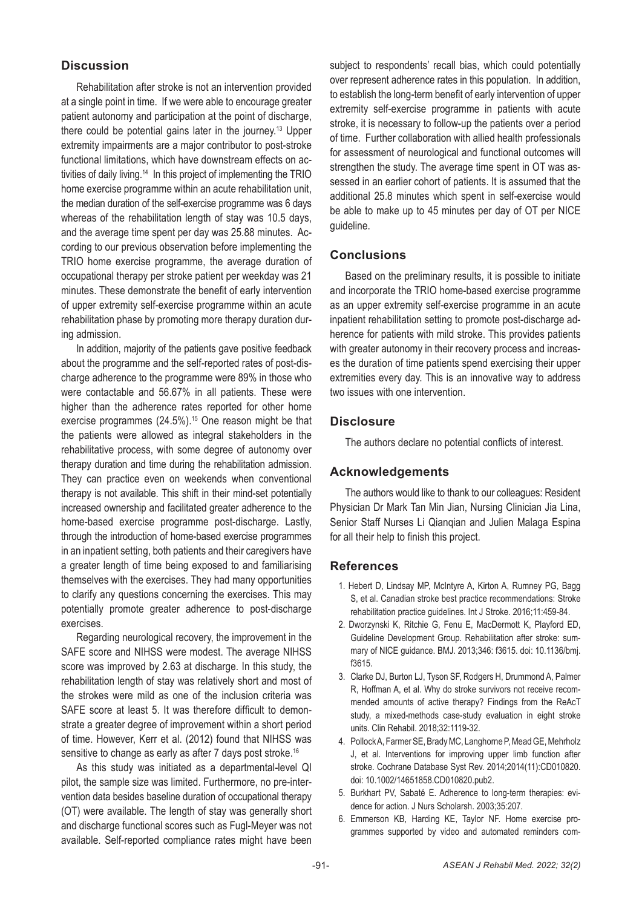# **Discussion**

Rehabilitation after stroke is not an intervention provided at a single point in time. If we were able to encourage greater patient autonomy and participation at the point of discharge, there could be potential gains later in the journey.13 Upper extremity impairments are a major contributor to post-stroke functional limitations, which have downstream effects on activities of daily living.14 In this project of implementing the TRIO home exercise programme within an acute rehabilitation unit, the median duration of the self-exercise programme was 6 days whereas of the rehabilitation length of stay was 10.5 days, and the average time spent per day was 25.88 minutes. According to our previous observation before implementing the TRIO home exercise programme, the average duration of occupational therapy per stroke patient per weekday was 21 minutes. These demonstrate the benefit of early intervention of upper extremity self-exercise programme within an acute rehabilitation phase by promoting more therapy duration during admission.

In addition, majority of the patients gave positive feedback about the programme and the self-reported rates of post-discharge adherence to the programme were 89% in those who were contactable and 56.67% in all patients. These were higher than the adherence rates reported for other home exercise programmes (24.5%).<sup>15</sup> One reason might be that the patients were allowed as integral stakeholders in the rehabilitative process, with some degree of autonomy over therapy duration and time during the rehabilitation admission. They can practice even on weekends when conventional therapy is not available. This shift in their mind-set potentially increased ownership and facilitated greater adherence to the home-based exercise programme post-discharge. Lastly, through the introduction of home-based exercise programmes in an inpatient setting, both patients and their caregivers have a greater length of time being exposed to and familiarising themselves with the exercises. They had many opportunities to clarify any questions concerning the exercises. This may potentially promote greater adherence to post-discharge exercises.

Regarding neurological recovery, the improvement in the SAFE score and NIHSS were modest. The average NIHSS score was improved by 2.63 at discharge. In this study, the rehabilitation length of stay was relatively short and most of the strokes were mild as one of the inclusion criteria was SAFE score at least 5. It was therefore difficult to demonstrate a greater degree of improvement within a short period of time. However, Kerr et al. (2012) found that NIHSS was sensitive to change as early as after 7 days post stroke.<sup>16</sup>

As this study was initiated as a departmental-level QI pilot, the sample size was limited. Furthermore, no pre-intervention data besides baseline duration of occupational therapy (OT) were available. The length of stay was generally short and discharge functional scores such as Fugl-Meyer was not available. Self-reported compliance rates might have been

subject to respondents' recall bias, which could potentially over represent adherence rates in this population. In addition, to establish the long-term benefit of early intervention of upper extremity self-exercise programme in patients with acute stroke, it is necessary to follow-up the patients over a period of time. Further collaboration with allied health professionals for assessment of neurological and functional outcomes will strengthen the study. The average time spent in OT was assessed in an earlier cohort of patients. It is assumed that the additional 25.8 minutes which spent in self-exercise would be able to make up to 45 minutes per day of OT per NICE guideline.

# **Conclusions**

Based on the preliminary results, it is possible to initiate and incorporate the TRIO home-based exercise programme as an upper extremity self-exercise programme in an acute inpatient rehabilitation setting to promote post-discharge adherence for patients with mild stroke. This provides patients with greater autonomy in their recovery process and increases the duration of time patients spend exercising their upper extremities every day. This is an innovative way to address two issues with one intervention.

# **Disclosure**

The authors declare no potential conflicts of interest.

# **Acknowledgements**

The authors would like to thank to our colleagues: Resident Physician Dr Mark Tan Min Jian, Nursing Clinician Jia Lina, Senior Staff Nurses Li Qianqian and Julien Malaga Espina for all their help to finish this project.

# **References**

- 1. Hebert D, Lindsay MP, McIntyre A, Kirton A, Rumney PG, Bagg S, et al. Canadian stroke best practice recommendations: Stroke rehabilitation practice guidelines. Int J Stroke. 2016;11:459-84.
- 2. Dworzynski K, Ritchie G, Fenu E, MacDermott K, Playford ED, Guideline Development Group. Rehabilitation after stroke: summary of NICE guidance. BMJ. 2013;346: f3615. doi: 10.1136/bmj. f3615.
- 3. Clarke DJ, Burton LJ, Tyson SF, Rodgers H, Drummond A, Palmer R, Hoffman A, et al. Why do stroke survivors not receive recommended amounts of active therapy? Findings from the ReAcT study, a mixed-methods case-study evaluation in eight stroke units. Clin Rehabil. 2018;32:1119-32.
- 4. Pollock A, Farmer SE, Brady MC, Langhorne P, Mead GE, Mehrholz J, et al. Interventions for improving upper limb function after stroke. Cochrane Database Syst Rev. 2014;2014(11):CD010820. doi: 10.1002/14651858.CD010820.pub2.
- 5. Burkhart PV, Sabaté E. Adherence to long-term therapies: evidence for action. J Nurs Scholarsh. 2003;35:207.
- 6. Emmerson KB, Harding KE, Taylor NF. Home exercise programmes supported by video and automated reminders com-